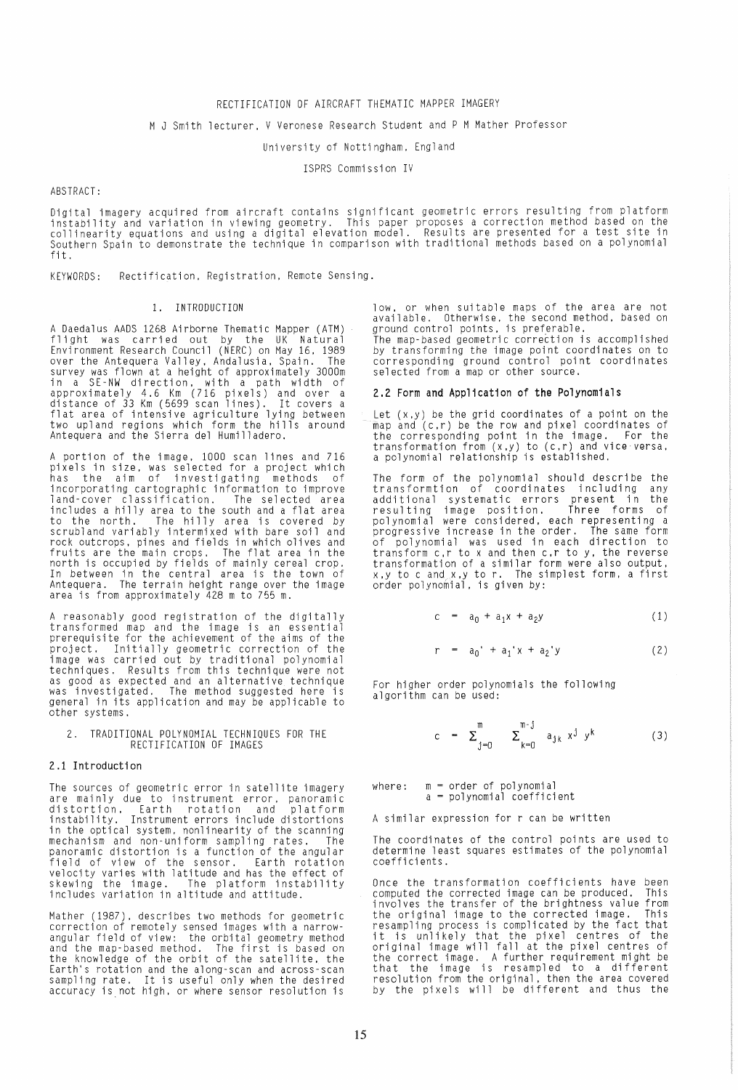#### RECTIFICATION OF AIRCRAFT THEMATIC MAPPER IMAGERY

## M J Smith lecturer, V Veronese Research Student and P M Mather Professor

#### University of Nottingham, England

ISPRS Commission IV

## ABSTRACT :

Digital imagery acquired from aircraft contains significant geometric errors resulting from platform<br>instability and variation in viewing geometry. This paper proposes a correction method based on the collinearity equations and using a digital elevation model. Results are presented for a test site in Southern Spain to demonstrate the technique in comparison with traditional methods based on a polynomial fit.

KEYWORDS: Rectification. Registration. Remote Sensing.

### 1. INTRODUCTION

A Daedalus AADS 1268 Airborne Thematic Mapper (ATM) flight was carried out by the UK Natural Environment Research Council (NERC) on May 16.1989 over the Antequera Valley. Andalusia. Spain. The survey was flown at a height of approximately 3000m<br>in a SE-NW direction, with a path width of<br>approximately 4.6 Km (716 pixels) and over a<br>distance of 33 Km (5699 scan lines). It covers a<br>flat area of intensive agricultur two upland regions which form the hills around<br>Antequera and the Sierra del Humilladero.

A portion of the image, 1000 scan lines and 716<br>pixels in size, was selected for a project which<br>has the aim of investigating methods of incorporating cartographic information to improve land-cover classification. The selected area includes a hilly area to the south and a flat area<br>to the north. The hilly area is covered by to the north. The hilly area is covered by<br>scrubland variably intermixed with bare soil and rock outcrops. pines and fields in which olives and fruits are the main crops. The flat area in the north is occupied by fields of mainly cereal crop. In between in the central area is the town of Antequera. The terrain height range over the image area is from approximately 428 m to 755 m.

A reasonably good registration of the digitally<br>transformed map and the image is an essential prerequisite for the achievement of the aims of the project. Initially geometric correction of the .<br>image was carried out by traditional polynomial<br>techniques. Results from this technique were not as good as expected and an alternative technique was investigated. The method suggested here is general in its application and may be applicable to other systems.

2. TRADITIONAL POLYNOMIAL TECHNIQUES FOR THE RECTIFICATION OF IMAGES

#### 2.1 Introduction

The sources of geometric error in satellite imagery are mainly due to instrument error, panoramic<br>distortion, Earth rotation and platform distortion. Earth rotation and platform<br>instability. Instrument errors include distortions<br>in the optical system, nonlinearity of the scanning in the optical system. nonlinearity of the scanning mechanism and non-uniform sampling rates. The panoramic distortion is a function of the angular field of view of the sensor. Earth rotation velocity varies with latitude and has the effect of<br>skewing the image. The platform instability<br>includes variation in altitude and attitude.

Mather (1987). describes two methods for geometric correction of remotely sensed images with a narrowangular field of view: the orbital geometry method and the map-based method. The first is based on the knowledge of the orbit of the satellite. the Earth's rotation and the along-scan and across-scan sampling rate. It is useful only when the desired sampling rate. It is useful only when the desired<br>accuracy is not high, or where sensor resolution is

low. or when suitable maps of the area are not available. Otherwise, the second method, based on<br>ground control points, is preferable.

The map-based geometric correction is accomplished<br>by transforming the image point coordinates on to corresponding ground control point coordinates selected from a map or other source.

#### 2.2 Form and Application of the Polynomials

Let (x.y) be the grid coordinates of a point on the map and (c.r) be the row and pixel coordinates of the corresponding point in the image. For the<br>transformation from (x,y) to (c,r) and vice versa. a polynomial relationship is established.

The form of the polynomial should describe the<br>transformtion of coordinates including any<br>additional systematic errors present in the resulting image position. Three forms of<br>polynomial were considered, each representing a progressive increase in the order. The same form of polynomial was used in each direction to transform c,r to x and then c,r to y. the reverse transformation of a similar form were also output,<br>x,y to c and x,y to r. The simplest form, a first order polynomial. is given by:

$$
c = a_0 + a_1 x + a_2 y \tag{1}
$$

$$
r = a_0' + a_1' x + a_2' y \tag{2}
$$

For higher order polynomials the following algorithm can be used:

$$
c = \sum_{j=0}^{m} \sum_{k=0}^{m-j} a_{jk} x^{j} y^{k}
$$
 (3)

where: m = order of polynomial  $a = polynomial coefficient$ 

A similar expression for r can be written

The coordinates of the control points are used to determine least squares estimates of the polynomial coefficients.

Once the transformation coefficients have been computed the corrected image can be produced. This involves the transfer of the brightness value from the original image to the corrected image. This resampling process is complicated by the fact that it is unlikely that the pixel centres of the original image will fall at the pixel centres of the correct image. A further requirement might be that the image is resampled to a different resolution from the original, then the area covered by the pixels will be different and thus the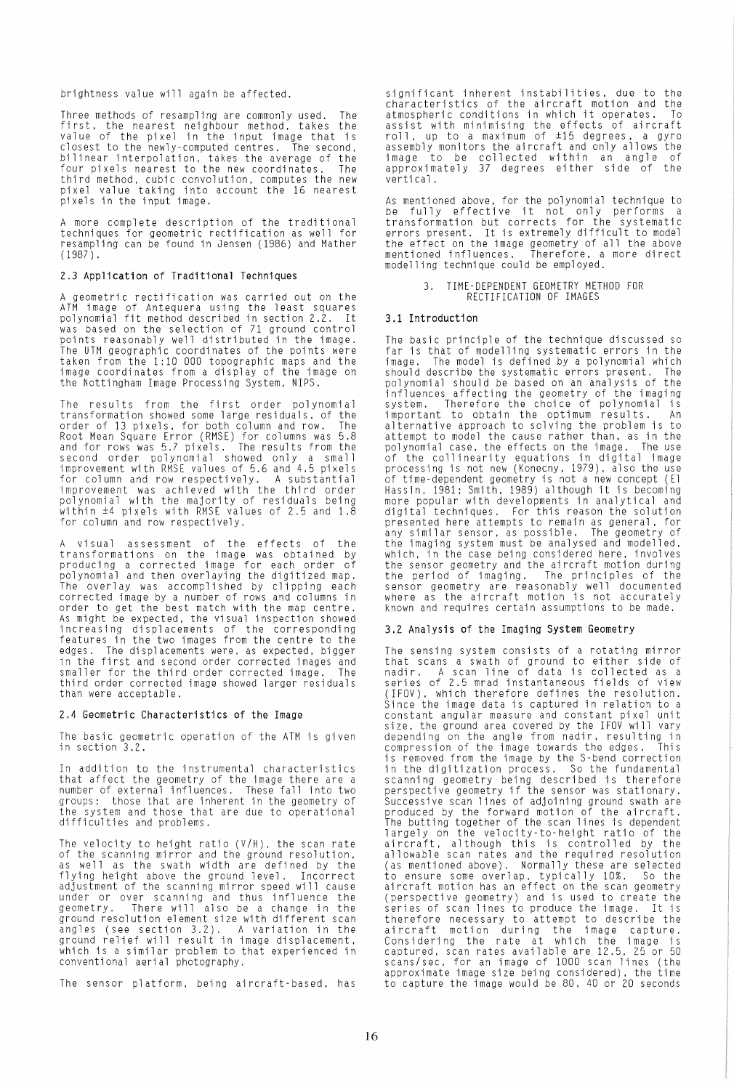brightness value will again be affected.

Three methods of resampling are commonly used. The first. the nearest neighbour method. takes the value of the pixel in the input image that is closest to the newly-computed centres. The second. bilinear interpolation. takes the average of the four pixels nearest to the new coordinates. The third method. cubic convolution. computes the new pixel value taking into account the 16 nearest pixels in the input image.

A more complete description of the traditional techniques for geometric rectification as well for resampling can be found in Jensen (1986) and Mather (1987) .

## 2.3 Application of Traditional Techniques

A geometric rectification was carried out on the ATM image of Antequera using the least squares polynomial fit method described in section 2.2. It was based on the selection of 71 ground control points reasonably well distributed in the image. The UTM geographic coordinates of the points were taken from the 1:10 000 topographic maps and the image coordinates from a display of the image on<br>the Nottingham Image Processing System, NIPS.

The results from the first order polynomial transformation showed some large residuals. of the order of 13 pixels. for both column and row. Root Mean Square Error (RMSE) for columns was 5.8 and for rows was 5.7 pixels. The results from the second order polynomial showed only a small improvement with RMSE values of 5.6 and 4.5 pixels<br>for column and row respectively. A substantial for column and row respectively. A substantial<br>improvement was achieved with the third order<br>polynomial with the majority of residuals being within  $\pm 4$  pixels with RMSE values of 2.5 and 1.8 for column and row respectively.

A visual assessment of the effects of the transformations on the image was obtained by<br>producing a corrected image for each order of .<br>polynomial and then overlaying the digitized map.<br>The overlay was accomplished by clipping each corrected image by a number of rows and columns in order to get the best match with the map centre. As might be expected, the visual inspection showed<br>increasing displacements of the corresponding<br>features in the two images from the centre to the edges. The displacements were, as expected, bigger<br>in the first and second order corrected images and smaller for the third order corrected image. The third order corrected image showed larger residuals than were acceptable.

#### 2.4 Geometric Characteristics of the Image

The basic geometric operation of the ATM is given<br>in section 3.2.

In addition to the instrumental characteristics<br>that affect the geometry of the image there are a<br>number of external influences. These fall into two<br>groups: those that are inherent in the geometry of groups: those that are inherent in the geometry of the system and those that are due to operational difficulties and problems.

The velocity to height ratio  $(V/H)$ , the scan rate of the scanning mirror and the ground resolution, of the scanning mirror and the ground resolution.<br>as well as the swath width are defined by the flying height above the ground level. Incorrect adjustment of the scanning mirror speed will cause<br>under or over scanning and thus influence the geometry. There will also be a change in the<br>ground resolution element size with different scan<br>angles (see section 3.2). A variation in the ground relief will result in image displacement.<br>which is a similar problem to that experienced in which is a similar problem to that experienced in conventional aerial photography.

The sensor platform. being aircraft-based. has

significant inherent instabilities, due to the characteristics of the aircraft motion and the atmospheric conditions in which it operates. To assist with minimising the effects of aircraft roll. up to a maximum of ±15 degrees. a gyro assembly monitors the aircraft and only allows the image to be collected within an angle of approximately 37 degrees either side of the verti cal.

As mentioned above, for the polynomial technique to<br>be fully effective it not only performs a<br>transformation but corrects for the systematic<br>errors present. It is extremely difficult to model the effect on the image geometry of all the above mentioned influences. Therefore. a more direct modelling technique could be employed.

#### 3. TIME-DEPENDENT GEOMETRY METHOD FOR RECTIFICATION OF IMAGES

#### 3.1 Introduction

The basic principle of the technique discussed so<br>far is that of modelling systematic errors in the image. The model is defined by a polynomial which should describe the systematic errors present. The polynomial should be based on an analysis of the influences affecting the geometry of the imaging system. Therefore the choice of polynomial is important to obtain the optimum results. An alternative approach to solving the problem is to attempt to model the cause rather than, as in the<br>attempt to model the cause rather than, as in the<br>polynomial case, the effects on the image. The use polynomial case. the collinearity equations in digital image<br>processing is not new (Konecny. 1979). also the use of time-dependent geometry is not a new concept (El<br>Hassin, 1981: Smith. 1989) although it is becoming<br>more popular with developments in analytical and digital techniques. For this reason the solution presented here attempts to remain as general, for<br>any similar sensor, as possible. The geometry of any similar sensor. as possible. The geometry of the imaging system must be analysed and modelled. which. in the case being considered here. involves the sensor geometry and the aircraft motion during<br>the period of imaging. The principles of the<br>sensor geometry are reasonably well documented where as the aircraft motion is not accurately known and requires certain assumptions to be made.

## 3.2 Analysis of the Imaging System Geometry

The sensing system consists of a rotating mirror that scans a swath of ground to either side of nadir. A scan line of data is collected as a<br>series of 2.5 mrad instantaneous fields of view (IFOV). which therefore defines the resolution. Since the image data is captured in relation to a constant angular measure and constant pixel unit constant angular measure and constant pixel unit size, the ground area covered by the IFOV will vary depending on the angle from nadir, resulting in compression of the image towards the edges. This is removed from the image by the S-bend correction in the digitization process. So the fundamental scanning geometry being described is therefore<br>perspective geometry if the sensor was stationary.<br>Successive scan lines of adjoining ground swath are<br>produced by the forward motion of the aircraft. The butting together of the scan lines is dependent largely on the velocity-to-height ratio of the aircraft. although this is controlled by the allowable scan rates and the required resolution (as mentioned above). Normally these are selected to ensure some overlap. typically 10%. So the aircraft motion has an effect on the scan geometry (perspective geometry) and is used to create the series of scan lines to produce the image. It is therefore necessary to attempt to describe the aircraft motion during the image capture.<br>Considering the rate at which the image is captured. scan rates available are 12.5. 25 or 50 scans/sec. for an image of 1000 scan lines (the approximate image size being considered). the time to capture the image would be 80, 40 or 20 seconds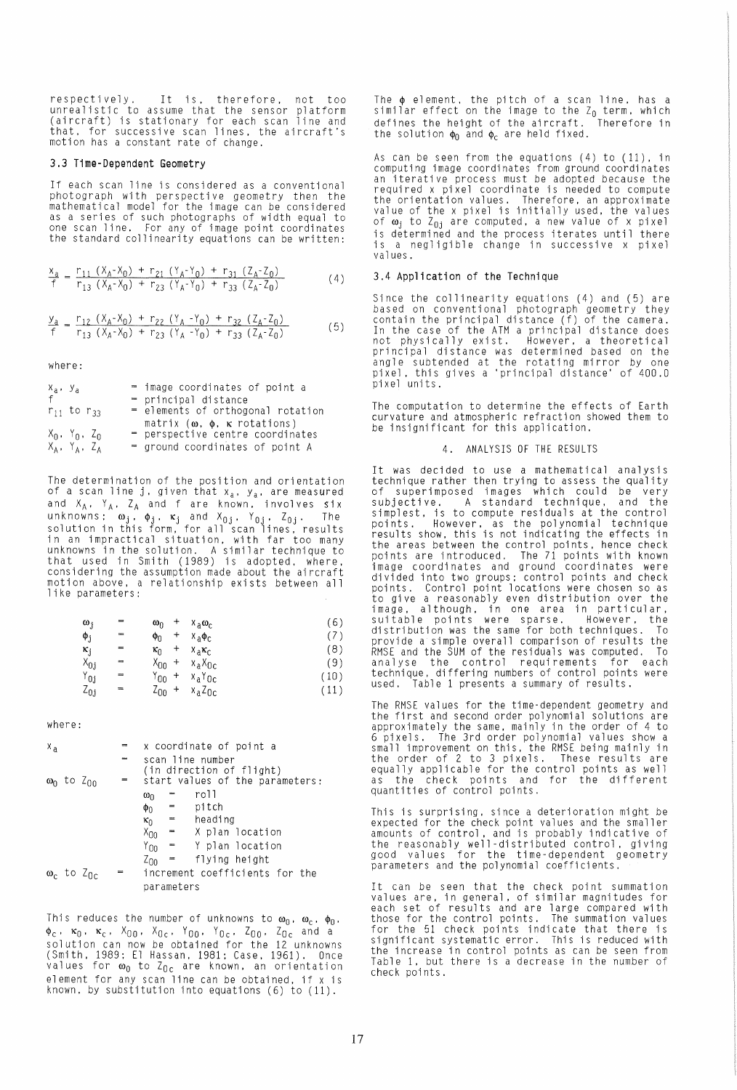respectively. It is, therefore, not too unrealistic to assume that the sensor platform (aircraft) is stationary for each scan line and that, for successive scan lines, the aircraft's motion has a constant rate of change.

### 3,3 T1me-Dependent Geometry

If each scan line is considered as a conventional photograph wi th perspecti ve geometry then the mathematical model for the image can be considered as a series of such photographs of width equal to one scan line. For any of image point coordinates the standard collinearity equations can be written:

$$
\frac{x_a}{f} = \frac{r_{11} (X_A - X_0) + r_{21} (Y_A - Y_0) + r_{31} (Z_A - Z_0)}{r_{13} (X_A - X_0) + r_{23} (Y_A - Y_0) + r_{33} (Z_A - Z_0)}
$$
(4)

$$
\frac{y_a}{f} = \frac{r_{12} (X_A - X_0) + r_{22} (Y_A - Y_0) + r_{32} (Z_A - Z_0)}{r_{13} (X_A - X_0) + r_{23} (Y_A - Y_0) + r_{33} (Z_A - Z_0)}
$$
(5)

where:

| $X_a$ , $Y_a$ |                       | = image coordinates of point a            |
|---------------|-----------------------|-------------------------------------------|
| f             |                       | = principal distance                      |
|               | $r_{11}$ to $r_{33}$  | = elements of orthogonal rotation         |
|               |                       | matrix $(\omega, \phi, \kappa$ rotations) |
|               | $X_0$ , $Y_0$ , $Z_0$ | = perspective centre coordinates          |
|               | $X_A$ , $Y_A$ , $Z_A$ | = ground coordinates of point A           |

The determination of the position and orientation<br>of a scan line j, given that x<sub>a</sub>, y<sub>a</sub>, are meas<mark>ur</mark>ed and  $X_A$ ,  $Y_A$ ,  $Z_A$  and f are known, involves  $\texttt{six}$ unknowns:  $\bm{{\omega}_j}$ ,  $\bm{{\phi}_j}$ ,  $\bm{{\kappa}_j}$  and  $\bm{{\chi}_0}_j$ ,  $\bm{{\gamma}_0}_j$ ,  $\bm{{\zeta}_0}_j$ . The solution in this form, for all scan lines, results in an impractical situation, with far too many unknowns in the solution. A similar technique to that used in Smith (1989) is adopted, where, considering the assumption made about the aircraft motion above, a relationship exists between all like parameters:

| $\omega_j$                  | $=$ | $\pmb{+}$<br>$\omega_0$   | $x_a\omega_c$                     | (6,  |
|-----------------------------|-----|---------------------------|-----------------------------------|------|
| $\phi_{\rm j}$              | m   | +<br>Φn                   | $X_{a}\Phi_{C}$                   | (7)  |
| $\kappa_{j}$                | ≕   | +<br>$\kappa_0$           | $X_a K_C$                         | (8)  |
| $X_{0j}$                    | 22  | $X_{00}$<br>$\ddot{}$     | $x_a X_{0c}$                      | (9)  |
| $\mathsf{Y}_{0 \texttt{j}}$ | ≕   | Υ <sub>ОΟ</sub><br>$\,^+$ | $x_a$ <sup>Y</sup> O <sub>C</sub> | (10) |
| $z_{0j}$                    |     | $\ddot{}$<br>$z_{00}$     | $x_a$ Z <sub>Oc</sub>             | (11) |

where:

| X <sub>a</sub> |                               |     |                                                             |                          | x coordinate of point a        |  |  |  |
|----------------|-------------------------------|-----|-------------------------------------------------------------|--------------------------|--------------------------------|--|--|--|
|                |                               |     | scan line number                                            |                          |                                |  |  |  |
|                | $\omega_0$ to Z <sub>On</sub> | $=$ | (in direction of flight)<br>start values of the parameters: |                          |                                |  |  |  |
|                |                               |     | $\omega_0$                                                  |                          | ro11                           |  |  |  |
|                |                               |     | Φn                                                          | =                        | pitch                          |  |  |  |
|                |                               |     | $\kappa_0$                                                  | $\mathbf{m}_\mathrm{c}$  | heading                        |  |  |  |
|                |                               |     | $X_{00}$                                                    | $\mathcal{L}_{\rm{max}}$ | X plan location                |  |  |  |
|                |                               |     | $Y_{00}$                                                    |                          | - Y plan location              |  |  |  |
|                |                               |     | $z_{00}$                                                    | $\mathbf{m}$             | flying height                  |  |  |  |
|                | $\omega_c$ to $\angle_{0c}$   |     |                                                             |                          | increment coefficients for the |  |  |  |
|                |                               |     | parameters                                                  |                          |                                |  |  |  |

This reduces the number of unknowns to  $\omega_0$ ,  $\omega_c$ ,  $\phi_0$ ,  $\phi_c$ ,  $\kappa_0$ ,  $\kappa_c$ ,  $X_{00}$ ,  $X_{0c}$ ,  $Y_{00}$ ,  $Y_{0c}$ ,  $Z_{00}$ ,  $Z_{0c}$  and a solution can now be obtained for the 12 unknowns<br>(Smith, 1989: El Hassan, 1981: Case, 1961). Once<br>values for œ<sub>o</sub> to Z<sub>Oc</sub> are known, an orientation element for any scan line can be obtained, if x is known, by substitution into equations (6) to (11).

The  $\phi$  element, the pitch of a scan line, has a<br>similar effect on the image to the Z<sub>O</sub> term, which defines the height of the aircraft. Therefore in the solution  $\phi_0$  and  $\phi_c$  are held fixed.

As can be seen from the equations (4) to (11), in computing image coordinates from ground coordinates an iterative process must be adopted because the required x pixel coordinate is needed to compute<br>the orientation values. Therefore, an approximate<br>value of the x pixel is initially used, the values of  $\omega_j$  to  $Z_{0,j}$  are computed, a new value of x pixel is determined and the process iterates until there is a negligible change in successive x pixel values.

## 3.4 Application of the Technique

Since the collinearity equations (4) and (5) are based on conventional photograph geometry they<br>contain the principal distance (f) of the camera. In the case of the ATM a principal distance does not physically exist. However, a theoretical principal distance was determined based on the<br>angle subtended at the rotating mirror by one pixel, this gives a 'principal distance' of 400.0 pixel units.

The computation to determine the effects of Earth curvature and atmospheric refraction showed them to be insignificant for this application.

#### 4. ANALYSIS OF THE RESULTS

It was decided to use a mathematical analysis technique rather then trying to assess the quality of superimposed images which could be very subjective. A standard technique, and the simplest, is to compute residuals at the control points. However, as the polynomial technique results show, this is not indicating the effects in the areas between the control points, hence check points are introduced. The 71 points with known image coordinates and ground coordinates were divided into two groups: control points and check points. Control point locations were chosen so as to give a reasonably even distribution over the image, although, in one area in particular, sui tabl e poi nts were sparse. However, the distribution was the same for both techniques. To provide a simple overall comparison of results the RMSE and the SUM of the residuals was computed. To analyse the control requirements for each technique, differing numbers of control points were used. Table 1 presents a summary of results.

The RMSE values for the time-dependent geometry and the first and second order polynomial solutions are approximately the same, mainly in the order of 4 to 6 pixels. The 3rd order polynomial values show a small improvement on this, the RMSE being mainly in the order of 2 to 3 pixels. These results are equally applicable for the control points as well<br>as the check points and for the different quantities of control points.

This is surprising, since a deterioration might be expected for the check point values and the smaller amounts of control, and is probably indicative of the reasonably well-distributed control, giving good values for the time-dependent geometry parameters and the polynomial coefficients.

It can be seen that the check point summation val ues are, in general, of simil ar magnitudes for each set of results and are large compared with those for the control points. The summation values for the 51 check points indicate that there is significant systematic error. This is reduced with the increase in control points as can be seen from Table 1, but there is a decrease in the number of check points.